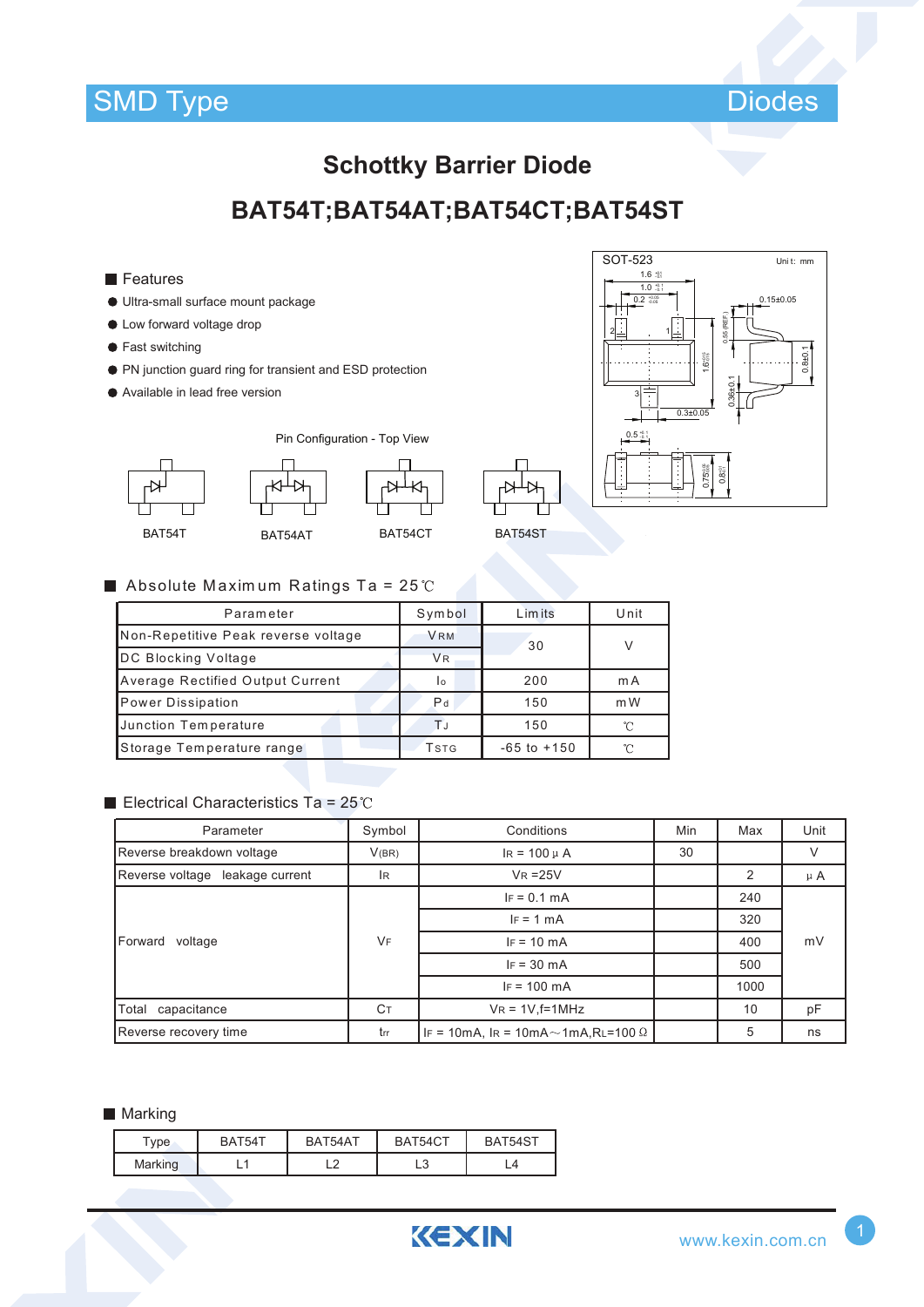



## **Schottky Barrier Diode**

## BAT54T;BAT54AT;BAT54CT;BAT54ST

- $\blacksquare$  Features
- · Ultra-small surface mount package
- Low forward voltage drop
- Fast switching
- PN junction guard ring for transient and ESD protection
- Available in lead free version







BAT54ST

### Absolute Maximum Ratings Ta =  $25^{\circ}$ C

| Parameter                               | Symbol         | Limits          | Unit   |
|-----------------------------------------|----------------|-----------------|--------|
| Non-Repetitive Peak reverse voltage     | <b>VRM</b>     | 30              | $\vee$ |
| DC Blocking Voltage                     | <b>VR</b>      |                 |        |
| <b>Average Rectified Output Current</b> | I٥             | 200             | m A    |
| Power Dissipation                       | P <sub>d</sub> | 150             | m W    |
| Junction Temperature                    | TJ             | 150             | °∩     |
| Storage Temperature range               | Tstg           | $-65$ to $+150$ | ∽      |

#### Electrical Characteristics Ta =  $25^{\circ}$ C

| Parameter                       | Symbol    | Conditions                                      | Min | Max  | Unit    |  |
|---------------------------------|-----------|-------------------------------------------------|-----|------|---------|--|
| Reverse breakdown voltage       | V(BR)     | $IR = 100 \mu A$                                | 30  |      | V       |  |
| Reverse voltage leakage current | IR.       | $VR = 25V$                                      |     | 2    | $\mu$ A |  |
| Forward<br>voltage              | <b>VF</b> | $IF = 0.1 mA$                                   |     | 240  |         |  |
|                                 |           | $IF = 1 mA$                                     |     | 320  |         |  |
|                                 |           | $IF = 10 mA$                                    |     | 400  | mV      |  |
|                                 |           | $IF = 30 mA$                                    |     | 500  |         |  |
|                                 |           | $IF = 100 mA$                                   |     | 1000 |         |  |
| Total capacitance               | Cт        | $V_R = 1V$ , f=1MHz                             |     | 10   | pF      |  |
| Reverse recovery time           | trr       | IF = 10mA, IR = 10mA $\sim$ 1mA,RL=100 $\Omega$ |     | 5    | ns      |  |

#### Marking

| vpe     | BAT54T | BAT54AT    | BAT54CT      | BAT54ST |
|---------|--------|------------|--------------|---------|
| Marking |        | $\epsilon$ | $\sim$<br>∟∪ |         |